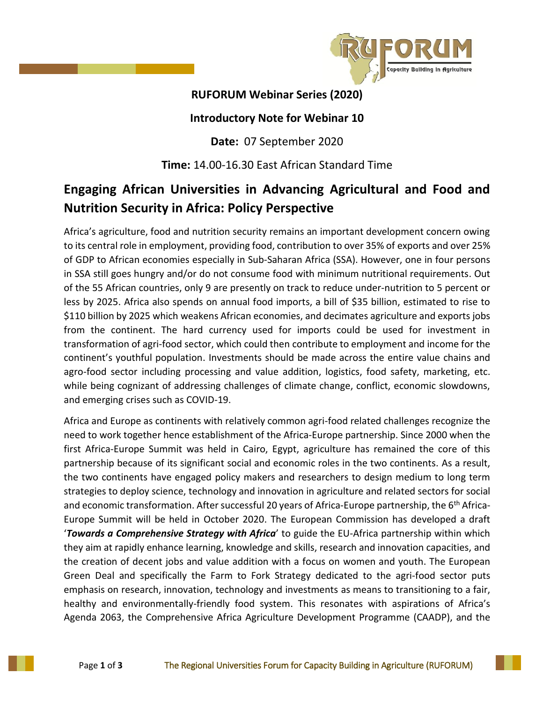

## **RUFORUM Webinar Series (2020)**

## **Introductory Note for Webinar 10**

**Date:** 07 September 2020

## **Time:** 14.00-16.30 East African Standard Time

## **Engaging African Universities in Advancing Agricultural and Food and Nutrition Security in Africa: Policy Perspective**

Africa's agriculture, food and nutrition security remains an important development concern owing to its central role in employment, providing food, contribution to over 35% of exports and over 25% of GDP to African economies especially in Sub-Saharan Africa (SSA). However, one in four persons in SSA still goes hungry and/or do not consume food with minimum nutritional requirements. Out of the 55 African countries, only 9 are presently on track to reduce under-nutrition to 5 percent or less by 2025. Africa also spends on annual food imports, a bill of \$35 billion, estimated to rise to \$110 billion by 2025 which weakens African economies, and decimates agriculture and exports jobs from the continent. The hard currency used for imports could be used for investment in transformation of agri-food sector, which could then contribute to employment and income for the continent's youthful population. Investments should be made across the entire value chains and agro-food sector including processing and value addition, logistics, food safety, marketing, etc. while being cognizant of addressing challenges of climate change, conflict, economic slowdowns, and emerging crises such as COVID-19.

Africa and Europe as continents with relatively common agri-food related challenges recognize the need to work together hence establishment of the Africa-Europe partnership. Since 2000 when the first Africa-Europe Summit was held in Cairo, Egypt, agriculture has remained the core of this partnership because of its significant social and economic roles in the two continents. As a result, the two continents have engaged policy makers and researchers to design medium to long term strategies to deploy science, technology and innovation in agriculture and related sectors for social and economic transformation. After successful 20 years of Africa-Europe partnership, the 6<sup>th</sup> Africa-Europe Summit will be held in October 2020. The European Commission has developed a draft '*Towards a Comprehensive Strategy with Africa*' to guide the EU-Africa partnership within which they aim at rapidly enhance learning, knowledge and skills, research and innovation capacities, and the creation of decent jobs and value addition with a focus on women and youth. The European Green Deal and specifically the Farm to Fork Strategy dedicated to the agri-food sector puts emphasis on research, innovation, technology and investments as means to transitioning to a fair, healthy and environmentally-friendly food system. This resonates with aspirations of Africa's Agenda 2063, the Comprehensive Africa Agriculture Development Programme (CAADP), and the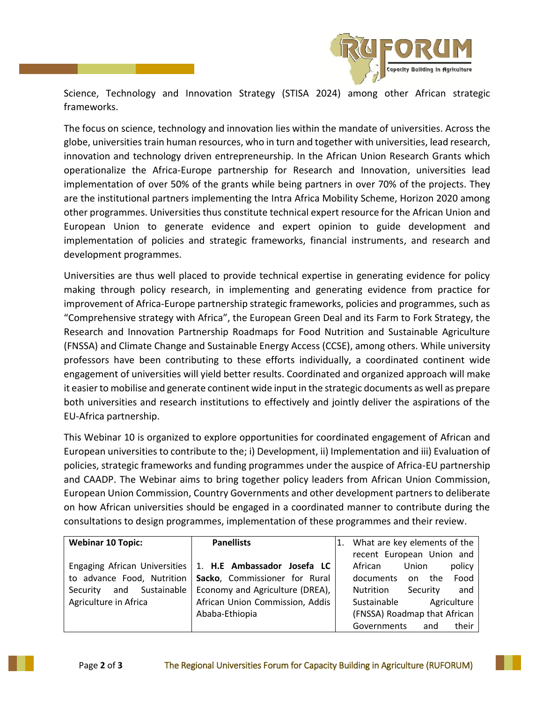

Science, Technology and Innovation Strategy (STISA 2024) among other African strategic frameworks.

The focus on science, technology and innovation lies within the mandate of universities. Across the globe, universities train human resources, who in turn and together with universities, lead research, innovation and technology driven entrepreneurship. In the African Union Research Grants which operationalize the Africa-Europe partnership for Research and Innovation, universities lead implementation of over 50% of the grants while being partners in over 70% of the projects. They are the institutional partners implementing the Intra Africa Mobility Scheme, Horizon 2020 among other programmes. Universities thus constitute technical expert resource for the African Union and European Union to generate evidence and expert opinion to guide development and implementation of policies and strategic frameworks, financial instruments, and research and development programmes.

Universities are thus well placed to provide technical expertise in generating evidence for policy making through policy research, in implementing and generating evidence from practice for improvement of Africa-Europe partnership strategic frameworks, policies and programmes, such as "Comprehensive strategy with Africa", the European Green Deal and its Farm to Fork Strategy, the Research and Innovation Partnership Roadmaps for Food Nutrition and Sustainable Agriculture (FNSSA) and Climate Change and Sustainable Energy Access (CCSE), among others. While university professors have been contributing to these efforts individually, a coordinated continent wide engagement of universities will yield better results. Coordinated and organized approach will make it easier to mobilise and generate continent wide input in the strategic documents as well as prepare both universities and research institutions to effectively and jointly deliver the aspirations of the EU-Africa partnership.

This Webinar 10 is organized to explore opportunities for coordinated engagement of African and European universities to contribute to the; i) Development, ii) Implementation and iii) Evaluation of policies, strategic frameworks and funding programmes under the auspice of Africa-EU partnership and CAADP. The Webinar aims to bring together policy leaders from African Union Commission, European Union Commission, Country Governments and other development partners to deliberate on how African universities should be engaged in a coordinated manner to contribute during the consultations to design programmes, implementation of these programmes and their review.

| <b>Webinar 10 Topic:</b>    | <b>Panellists</b>                                           | What are key elements of the        |
|-----------------------------|-------------------------------------------------------------|-------------------------------------|
|                             |                                                             | recent European Union and           |
|                             | Engaging African Universities   1. H.E Ambassador Josefa LC | policy<br>African<br>Union          |
| to advance Food, Nutrition  | Sacko, Commissioner for Rural                               | Food<br>documents<br>the<br>on      |
| and Sustainable<br>Security | Economy and Agriculture (DREA),                             | Security<br>and<br><b>Nutrition</b> |
| Agriculture in Africa       | African Union Commission, Addis                             | Sustainable<br>Agriculture          |
|                             | Ababa-Ethiopia                                              | (FNSSA) Roadmap that African        |
|                             |                                                             | their<br>Governments<br>and         |